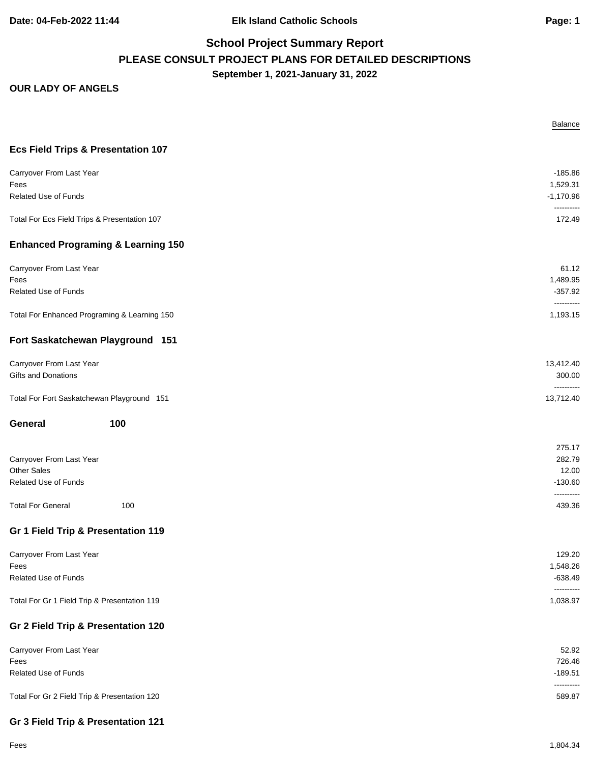**Date: 04-Feb-2022 11:44 Elk Island Catholic Schools Page: 1**

# **School Project Summary Report PLEASE CONSULT PROJECT PLANS FOR DETAILED DESCRIPTIONS September 1, 2021-January 31, 2022**

|                                               | Balance                 |
|-----------------------------------------------|-------------------------|
| <b>Ecs Field Trips &amp; Presentation 107</b> |                         |
| Carryover From Last Year                      | $-185.86$               |
| Fees<br>Related Use of Funds                  | 1,529.31<br>$-1,170.96$ |
|                                               | ----------              |
| Total For Ecs Field Trips & Presentation 107  | 172.49                  |
| <b>Enhanced Programing &amp; Learning 150</b> |                         |
| Carryover From Last Year                      | 61.12                   |
| Fees                                          | 1,489.95                |
| Related Use of Funds                          | $-357.92$<br>---------- |
| Total For Enhanced Programing & Learning 150  | 1,193.15                |
| Fort Saskatchewan Playground 151              |                         |
| Carryover From Last Year                      | 13,412.40               |
| Gifts and Donations                           | 300.00<br>----------    |
| Total For Fort Saskatchewan Playground 151    | 13,712.40               |
| 100<br>General                                |                         |
|                                               | 275.17                  |
| Carryover From Last Year                      | 282.79                  |
| Other Sales<br><b>Related Use of Funds</b>    | 12.00<br>$-130.60$      |
|                                               | ----------              |
| <b>Total For General</b><br>100               | 439.36                  |
| Gr 1 Field Trip & Presentation 119            |                         |
| Carryover From Last Year                      | 129.20                  |
| Fees                                          | 1,548.26                |
| Related Use of Funds                          | $-638.49$<br>---------- |
| Total For Gr 1 Field Trip & Presentation 119  | 1,038.97                |
| Gr 2 Field Trip & Presentation 120            |                         |
| Carryover From Last Year                      | 52.92                   |
| Fees                                          | 726.46                  |
| <b>Related Use of Funds</b>                   | $-189.51$<br>---------- |
| Total For Gr 2 Field Trip & Presentation 120  | 589.87                  |
| Gr 3 Field Trip & Presentation 121            |                         |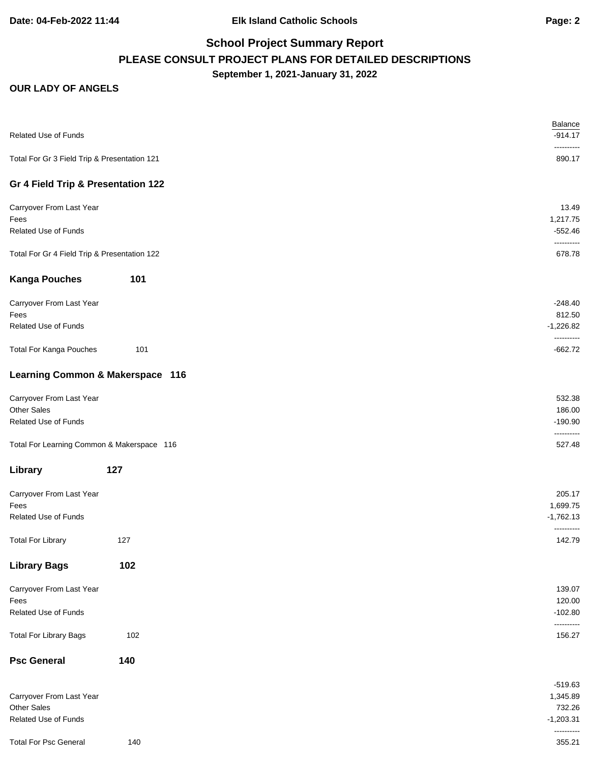# **School Project Summary Report PLEASE CONSULT PROJECT PLANS FOR DETAILED DESCRIPTIONS September 1, 2021-January 31, 2022**

| Related Use of Funds                         |     | Balance<br>$-914.17$<br>---------- |
|----------------------------------------------|-----|------------------------------------|
| Total For Gr 3 Field Trip & Presentation 121 |     | 890.17                             |
| Gr 4 Field Trip & Presentation 122           |     |                                    |
| Carryover From Last Year                     |     | 13.49                              |
| Fees                                         |     | 1,217.75                           |
| Related Use of Funds                         |     | $-552.46$<br>----------            |
| Total For Gr 4 Field Trip & Presentation 122 |     | 678.78                             |
| <b>Kanga Pouches</b>                         | 101 |                                    |
| Carryover From Last Year                     |     | $-248.40$                          |
| Fees                                         |     | 812.50                             |
| Related Use of Funds                         |     | $-1,226.82$<br>----------          |
| <b>Total For Kanga Pouches</b>               | 101 | $-662.72$                          |
| Learning Common & Makerspace 116             |     |                                    |
| Carryover From Last Year                     |     | 532.38                             |
| Other Sales                                  |     | 186.00                             |
| Related Use of Funds                         |     | $-190.90$<br>----------            |
| Total For Learning Common & Makerspace 116   |     | 527.48                             |
| Library                                      | 127 |                                    |
| Carryover From Last Year                     |     | 205.17                             |
| Fees                                         |     | 1,699.75                           |
| Related Use of Funds                         |     | $-1,762.13$                        |
| <b>Total For Library</b>                     | 127 | ----------<br>142.79               |
| <b>Library Bags</b>                          | 102 |                                    |
| Carryover From Last Year                     |     | 139.07                             |
| Fees                                         |     | 120.00                             |
| Related Use of Funds                         |     | $-102.80$                          |
| <b>Total For Library Bags</b>                | 102 | ----------<br>156.27               |
| <b>Psc General</b>                           | 140 |                                    |
|                                              |     | $-519.63$                          |
| Carryover From Last Year                     |     | 1,345.89                           |
| Other Sales                                  |     | 732.26                             |
| Related Use of Funds                         |     | $-1,203.31$<br>----------          |
| <b>Total For Psc General</b>                 | 140 | 355.21                             |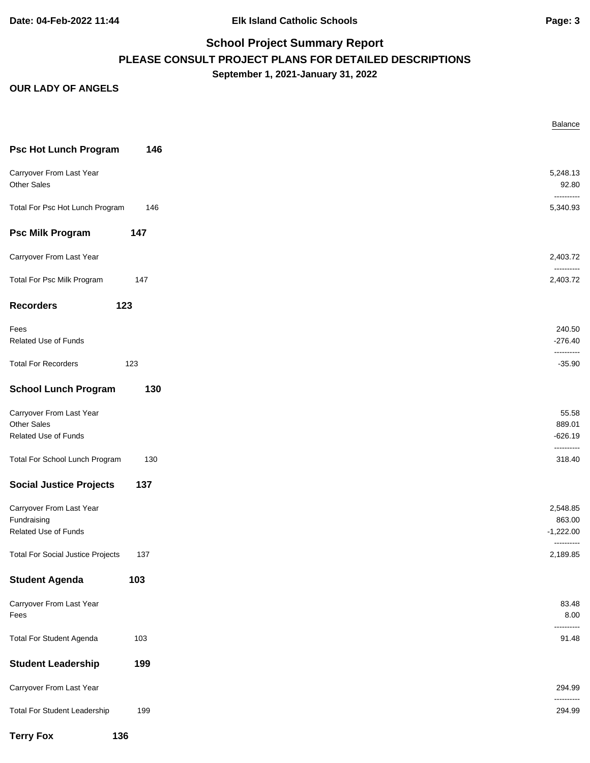**Date: 04-Feb-2022 11:44 Elk Island Catholic Schools Page: 3**

# **School Project Summary Report PLEASE CONSULT PROJECT PLANS FOR DETAILED DESCRIPTIONS September 1, 2021-January 31, 2022**

|                                          |     | Balance                 |
|------------------------------------------|-----|-------------------------|
| <b>Psc Hot Lunch Program</b>             | 146 |                         |
| Carryover From Last Year<br>Other Sales  |     | 5,248.13<br>92.80       |
| Total For Psc Hot Lunch Program          | 146 | ----------<br>5,340.93  |
| <b>Psc Milk Program</b>                  | 147 |                         |
| Carryover From Last Year                 |     | 2,403.72                |
| Total For Psc Milk Program               | 147 | ----------<br>2,403.72  |
| <b>Recorders</b><br>123                  |     |                         |
| Fees                                     |     | 240.50                  |
| <b>Related Use of Funds</b>              |     | $-276.40$               |
| <b>Total For Recorders</b>               | 123 | ----------<br>$-35.90$  |
|                                          |     |                         |
| <b>School Lunch Program</b>              | 130 |                         |
| Carryover From Last Year                 |     | 55.58                   |
| <b>Other Sales</b>                       |     | 889.01                  |
| Related Use of Funds                     |     | $-626.19$<br>---------- |
| Total For School Lunch Program           | 130 | 318.40                  |
| <b>Social Justice Projects</b>           | 137 |                         |
| Carryover From Last Year                 |     | 2,548.85                |
| Fundraising                              |     | 863.00                  |
| <b>Related Use of Funds</b>              |     | $-1,222.00$             |
| <b>Total For Social Justice Projects</b> | 137 | ----------<br>2,189.85  |
| <b>Student Agenda</b>                    | 103 |                         |
| Carryover From Last Year                 |     | 83.48                   |
| Fees                                     |     | 8.00                    |
| <b>Total For Student Agenda</b>          | 103 | ------<br>91.48         |
| <b>Student Leadership</b>                | 199 |                         |
| Carryover From Last Year                 |     | 294.99                  |
| <b>Total For Student Leadership</b>      | 199 | ----------<br>294.99    |
| 136<br><b>Terry Fox</b>                  |     |                         |